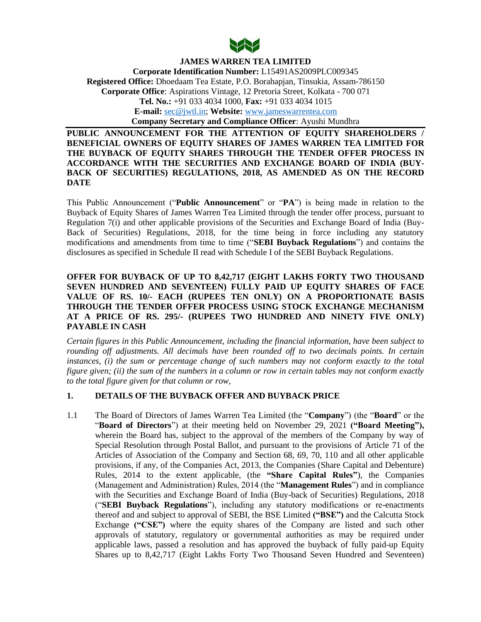

**JAMES WARREN TEA LIMITED Corporate Identification Number:** L15491AS2009PLC009345 **Registered Office:** Dhoedaam Tea Estate, P.O. Borahapjan, Tinsukia, Assam-786150 **Corporate Office**: Aspirations Vintage, 12 Pretoria Street, Kolkata - 700 071 **Tel. No.:** +91 033 4034 1000, **Fax:** +91 033 4034 1015 **E-mail:** [sec@jwtl.in;](mailto:sec@jwtl.in) **Website:** [www.jameswarrentea.com](http://www.jameswarrentea.com/)  **Company Secretary and Compliance Officer**: Ayushi Mundhra

**PUBLIC ANNOUNCEMENT FOR THE ATTENTION OF EQUITY SHAREHOLDERS / BENEFICIAL OWNERS OF EQUITY SHARES OF JAMES WARREN TEA LIMITED FOR THE BUYBACK OF EQUITY SHARES THROUGH THE TENDER OFFER PROCESS IN ACCORDANCE WITH THE SECURITIES AND EXCHANGE BOARD OF INDIA (BUY-BACK OF SECURITIES) REGULATIONS, 2018, AS AMENDED AS ON THE RECORD DATE**

This Public Announcement ("**Public Announcement**" or "**PA**") is being made in relation to the Buyback of Equity Shares of James Warren Tea Limited through the tender offer process, pursuant to Regulation 7(i) and other applicable provisions of the Securities and Exchange Board of India (Buy-Back of Securities) Regulations, 2018, for the time being in force including any statutory modifications and amendments from time to time ("**SEBI Buyback Regulations**") and contains the disclosures as specified in Schedule II read with Schedule I of the SEBI Buyback Regulations.

# **OFFER FOR BUYBACK OF UP TO 8,42,717 (EIGHT LAKHS FORTY TWO THOUSAND SEVEN HUNDRED AND SEVENTEEN) FULLY PAID UP EQUITY SHARES OF FACE VALUE OF RS. 10/- EACH (RUPEES TEN ONLY) ON A PROPORTIONATE BASIS THROUGH THE TENDER OFFER PROCESS USING STOCK EXCHANGE MECHANISM AT A PRICE OF RS. 295/- (RUPEES TWO HUNDRED AND NINETY FIVE ONLY) PAYABLE IN CASH**

*Certain figures in this Public Announcement, including the financial information, have been subject to rounding off adjustments. All decimals have been rounded off to two decimals points. In certain instances, (i) the sum or percentage change of such numbers may not conform exactly to the total figure given; (ii) the sum of the numbers in a column or row in certain tables may not conform exactly to the total figure given for that column or row,*

### **1. DETAILS OF THE BUYBACK OFFER AND BUYBACK PRICE**

1.1 The Board of Directors of James Warren Tea Limited (the "**Company**") (the "**Board**" or the "**Board of Directors**") at their meeting held on November 29, 2021 **("Board Meeting"),** wherein the Board has, subject to the approval of the members of the Company by way of Special Resolution through Postal Ballot, and pursuant to the provisions of Article 71 of the Articles of Association of the Company and Section 68, 69, 70, 110 and all other applicable provisions, if any, of the Companies Act, 2013, the Companies (Share Capital and Debenture) Rules, 2014 to the extent applicable, (the **"Share Capital Rules"**), the Companies (Management and Administration) Rules, 2014 (the "**Management Rules**") and in compliance with the Securities and Exchange Board of India (Buy-back of Securities) Regulations, 2018 ("**SEBI Buyback Regulations**"), including any statutory modifications or re-enactments thereof and and subject to approval of SEBI, the BSE Limited **("BSE")** and the Calcutta Stock Exchange **("CSE")** where the equity shares of the Company are listed and such other approvals of statutory, regulatory or governmental authorities as may be required under applicable laws, passed a resolution and has approved the buyback of fully paid-up Equity Shares up to 8,42,717 (Eight Lakhs Forty Two Thousand Seven Hundred and Seventeen)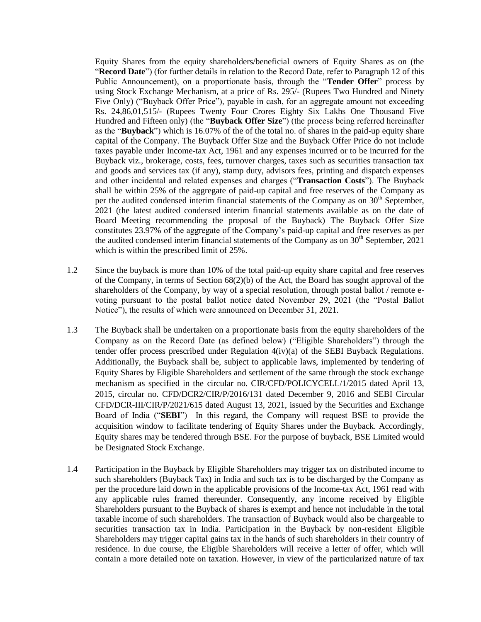Equity Shares from the equity shareholders/beneficial owners of Equity Shares as on (the "**Record Date**") (for further details in relation to the Record Date, refer to Paragraph 12 of this Public Announcement), on a proportionate basis, through the "**Tender Offer**" process by using Stock Exchange Mechanism, at a price of Rs. 295/- (Rupees Two Hundred and Ninety Five Only) ("Buyback Offer Price"), payable in cash, for an aggregate amount not exceeding Rs. 24,86,01,515/- (Rupees Twenty Four Crores Eighty Six Lakhs One Thousand Five Hundred and Fifteen only) (the "**Buyback Offer Size**") (the process being referred hereinafter as the "**Buyback**") which is 16.07% of the of the total no. of shares in the paid-up equity share capital of the Company. The Buyback Offer Size and the Buyback Offer Price do not include taxes payable under Income-tax Act, 1961 and any expenses incurred or to be incurred for the Buyback viz., brokerage, costs, fees, turnover charges, taxes such as securities transaction tax and goods and services tax (if any), stamp duty, advisors fees, printing and dispatch expenses and other incidental and related expenses and charges ("**Transaction Costs**"). The Buyback shall be within 25% of the aggregate of paid-up capital and free reserves of the Company as per the audited condensed interim financial statements of the Company as on  $30<sup>th</sup>$  September, 2021 (the latest audited condensed interim financial statements available as on the date of Board Meeting recommending the proposal of the Buyback) The Buyback Offer Size constitutes 23.97% of the aggregate of the Company"s paid-up capital and free reserves as per the audited condensed interim financial statements of the Company as on  $30<sup>th</sup>$  September, 2021 which is within the prescribed limit of 25%.

- 1.2 Since the buyback is more than 10% of the total paid-up equity share capital and free reserves of the Company, in terms of Section  $68(2)(b)$  of the Act, the Board has sought approval of the shareholders of the Company, by way of a special resolution, through postal ballot / remote evoting pursuant to the postal ballot notice dated November 29, 2021 (the "Postal Ballot Notice"), the results of which were announced on December 31, 2021.
- 1.3 The Buyback shall be undertaken on a proportionate basis from the equity shareholders of the Company as on the Record Date (as defined below) ("Eligible Shareholders") through the tender offer process prescribed under Regulation 4(iv)(a) of the SEBI Buyback Regulations. Additionally, the Buyback shall be, subject to applicable laws, implemented by tendering of Equity Shares by Eligible Shareholders and settlement of the same through the stock exchange mechanism as specified in the circular no. CIR/CFD/POLICYCELL/1/2015 dated April 13, 2015, circular no. CFD/DCR2/CIR/P/2016/131 dated December 9, 2016 and SEBI Circular CFD/DCR-III/CIR/P/2021/615 dated August 13, 2021, issued by the Securities and Exchange Board of India ("**SEBI**") In this regard, the Company will request BSE to provide the acquisition window to facilitate tendering of Equity Shares under the Buyback. Accordingly, Equity shares may be tendered through BSE. For the purpose of buyback, BSE Limited would be Designated Stock Exchange.
- 1.4 Participation in the Buyback by Eligible Shareholders may trigger tax on distributed income to such shareholders (Buyback Tax) in India and such tax is to be discharged by the Company as per the procedure laid down in the applicable provisions of the Income-tax Act, 1961 read with any applicable rules framed thereunder. Consequently, any income received by Eligible Shareholders pursuant to the Buyback of shares is exempt and hence not includable in the total taxable income of such shareholders. The transaction of Buyback would also be chargeable to securities transaction tax in India. Participation in the Buyback by non-resident Eligible Shareholders may trigger capital gains tax in the hands of such shareholders in their country of residence. In due course, the Eligible Shareholders will receive a letter of offer, which will contain a more detailed note on taxation. However, in view of the particularized nature of tax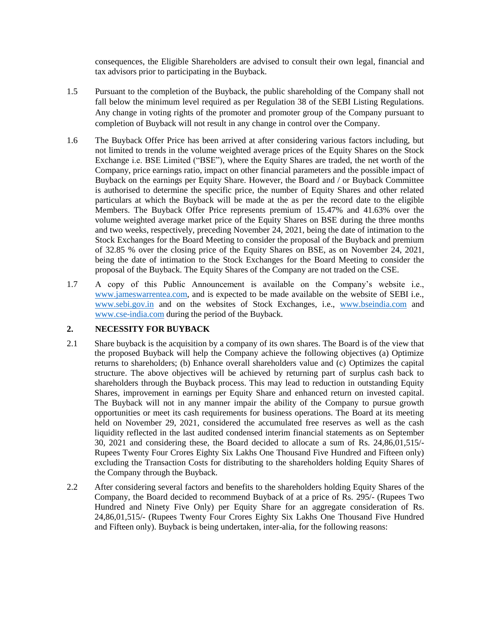consequences, the Eligible Shareholders are advised to consult their own legal, financial and tax advisors prior to participating in the Buyback.

- 1.5 Pursuant to the completion of the Buyback, the public shareholding of the Company shall not fall below the minimum level required as per Regulation 38 of the SEBI Listing Regulations. Any change in voting rights of the promoter and promoter group of the Company pursuant to completion of Buyback will not result in any change in control over the Company.
- 1.6 The Buyback Offer Price has been arrived at after considering various factors including, but not limited to trends in the volume weighted average prices of the Equity Shares on the Stock Exchange i.e. BSE Limited ("BSE"), where the Equity Shares are traded, the net worth of the Company, price earnings ratio, impact on other financial parameters and the possible impact of Buyback on the earnings per Equity Share. However, the Board and / or Buyback Committee is authorised to determine the specific price, the number of Equity Shares and other related particulars at which the Buyback will be made at the as per the record date to the eligible Members. The Buyback Offer Price represents premium of 15.47% and 41.63% over the volume weighted average market price of the Equity Shares on BSE during the three months and two weeks, respectively, preceding November 24, 2021, being the date of intimation to the Stock Exchanges for the Board Meeting to consider the proposal of the Buyback and premium of 32.85 % over the closing price of the Equity Shares on BSE, as on November 24, 2021, being the date of intimation to the Stock Exchanges for the Board Meeting to consider the proposal of the Buyback. The Equity Shares of the Company are not traded on the CSE.
- 1.7 A copy of this Public Announcement is available on the Company"s website i.e., [www.jameswarrentea.com,](http://www.jameswarrentea.com/) and is expected to be made available on the website of SEBI i.e., [www.sebi.gov.in](http://www.sebi.gov.in/) and on the websites of Stock Exchanges, i.e., [www.bseindia.com](http://www.bseindia.com/) and [www.cse-india.com](http://www.cse-india.com/) during the period of the Buyback.

## **2. NECESSITY FOR BUYBACK**

- 2.1 Share buyback is the acquisition by a company of its own shares. The Board is of the view that the proposed Buyback will help the Company achieve the following objectives (a) Optimize returns to shareholders; (b) Enhance overall shareholders value and (c) Optimizes the capital structure. The above objectives will be achieved by returning part of surplus cash back to shareholders through the Buyback process. This may lead to reduction in outstanding Equity Shares, improvement in earnings per Equity Share and enhanced return on invested capital. The Buyback will not in any manner impair the ability of the Company to pursue growth opportunities or meet its cash requirements for business operations. The Board at its meeting held on November 29, 2021, considered the accumulated free reserves as well as the cash liquidity reflected in the last audited condensed interim financial statements as on September 30, 2021 and considering these, the Board decided to allocate a sum of Rs. 24,86,01,515/- Rupees Twenty Four Crores Eighty Six Lakhs One Thousand Five Hundred and Fifteen only) excluding the Transaction Costs for distributing to the shareholders holding Equity Shares of the Company through the Buyback.
- 2.2 After considering several factors and benefits to the shareholders holding Equity Shares of the Company, the Board decided to recommend Buyback of at a price of Rs. 295/- (Rupees Two Hundred and Ninety Five Only) per Equity Share for an aggregate consideration of Rs. 24,86,01,515/- (Rupees Twenty Four Crores Eighty Six Lakhs One Thousand Five Hundred and Fifteen only). Buyback is being undertaken, inter-alia, for the following reasons: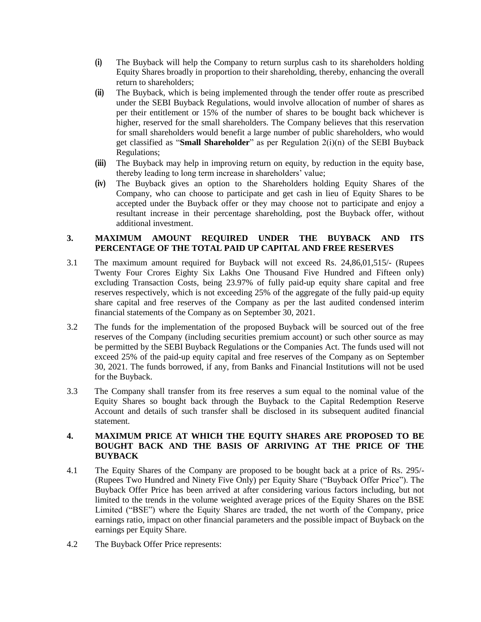- **(i)** The Buyback will help the Company to return surplus cash to its shareholders holding Equity Shares broadly in proportion to their shareholding, thereby, enhancing the overall return to shareholders;
- **(ii)** The Buyback, which is being implemented through the tender offer route as prescribed under the SEBI Buyback Regulations, would involve allocation of number of shares as per their entitlement or 15% of the number of shares to be bought back whichever is higher, reserved for the small shareholders. The Company believes that this reservation for small shareholders would benefit a large number of public shareholders, who would get classified as "**Small Shareholder**" as per Regulation 2(i)(n) of the SEBI Buyback Regulations;
- **(iii)** The Buyback may help in improving return on equity, by reduction in the equity base, thereby leading to long term increase in shareholders' value;
- **(iv)** The Buyback gives an option to the Shareholders holding Equity Shares of the Company, who can choose to participate and get cash in lieu of Equity Shares to be accepted under the Buyback offer or they may choose not to participate and enjoy a resultant increase in their percentage shareholding, post the Buyback offer, without additional investment.

## **3. MAXIMUM AMOUNT REQUIRED UNDER THE BUYBACK AND ITS PERCENTAGE OF THE TOTAL PAID UP CAPITAL AND FREE RESERVES**

- 3.1 The maximum amount required for Buyback will not exceed Rs. 24,86,01,515/- (Rupees Twenty Four Crores Eighty Six Lakhs One Thousand Five Hundred and Fifteen only) excluding Transaction Costs, being 23.97% of fully paid-up equity share capital and free reserves respectively, which is not exceeding 25% of the aggregate of the fully paid-up equity share capital and free reserves of the Company as per the last audited condensed interim financial statements of the Company as on September 30, 2021.
- 3.2 The funds for the implementation of the proposed Buyback will be sourced out of the free reserves of the Company (including securities premium account) or such other source as may be permitted by the SEBI Buyback Regulations or the Companies Act. The funds used will not exceed 25% of the paid-up equity capital and free reserves of the Company as on September 30, 2021. The funds borrowed, if any, from Banks and Financial Institutions will not be used for the Buyback.
- 3.3 The Company shall transfer from its free reserves a sum equal to the nominal value of the Equity Shares so bought back through the Buyback to the Capital Redemption Reserve Account and details of such transfer shall be disclosed in its subsequent audited financial statement.

# **4. MAXIMUM PRICE AT WHICH THE EQUITY SHARES ARE PROPOSED TO BE BOUGHT BACK AND THE BASIS OF ARRIVING AT THE PRICE OF THE BUYBACK**

- 4.1 The Equity Shares of the Company are proposed to be bought back at a price of Rs. 295/- (Rupees Two Hundred and Ninety Five Only) per Equity Share ("Buyback Offer Price"). The Buyback Offer Price has been arrived at after considering various factors including, but not limited to the trends in the volume weighted average prices of the Equity Shares on the BSE Limited ("BSE") where the Equity Shares are traded, the net worth of the Company, price earnings ratio, impact on other financial parameters and the possible impact of Buyback on the earnings per Equity Share.
- 4.2 The Buyback Offer Price represents: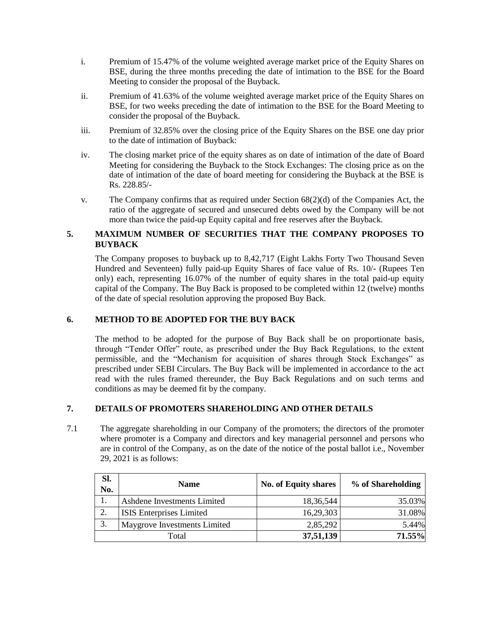- i. Premium of 15.47% of the volume weighted average market price of the Equity Shares on BSE, during the three months preceding the date of intimation to the BSE for the Board Meeting to consider the proposal of the Buyback.
- ii. Premium of 41.63% of the volume weighted average market price of the Equity Shares on BSE, for two weeks preceding the date of intimation to the BSE for the Board Meeting to consider the proposal of the Buyback.
- iii. Premium of 32.85% over the closing price of the Equity Shares on the BSE one day prior to the date of intimation of Buyback:
- iv. The closing market price of the equity shares as on date of intimation of the date of Board Meeting for considering the Buyback to the Stock Exchanges: The closing price as on the date of intimation of the date of board meeting for considering the Buyback at the BSE is Rs. 228.85/-
- v. The Company confirms that as required under Section 68(2)(d) of the Companies Act, the ratio of the aggregate of secured and unsecured debts owed by the Company will be not more than twice the paid-up Equity capital and free reserves after the Buyback.

# **5. MAXIMUM NUMBER OF SECURITIES THAT THE COMPANY PROPOSES TO BUYBACK**

The Company proposes to buyback up to 8,42,717 (Eight Lakhs Forty Two Thousand Seven Hundred and Seventeen) fully paid-up Equity Shares of face value of Rs. 10/- (Rupees Ten only) each, representing 16.07% of the number of equity shares in the total paid-up equity capital of the Company. The Buy Back is proposed to be completed within 12 (twelve) months of the date of special resolution approving the proposed Buy Back.

# **6. METHOD TO BE ADOPTED FOR THE BUY BACK**

The method to be adopted for the purpose of Buy Back shall be on proportionate basis, through "Tender Offer" route, as prescribed under the Buy Back Regulations, to the extent permissible, and the "Mechanism for acquisition of shares through Stock Exchanges" as prescribed under SEBI Circulars. The Buy Back will be implemented in accordance to the act read with the rules framed thereunder, the Buy Back Regulations and on such terms and conditions as may be deemed fit by the company.

# **7. DETAILS OF PROMOTERS SHAREHOLDING AND OTHER DETAILS**

7.1 The aggregate shareholding in our Company of the promoters; the directors of the promoter where promoter is a Company and directors and key managerial personnel and persons who are in control of the Company, as on the date of the notice of the postal ballot i.e., November 29, 2021 is as follows:

| Sl.<br>No. | <b>Name</b>                         | <b>No. of Equity shares</b> | % of Shareholding |
|------------|-------------------------------------|-----------------------------|-------------------|
|            | Ashdene Investments Limited         | 18,36,544                   | 35.03%            |
| 2.         | <b>ISIS</b> Enterprises Limited     | 16,29,303                   | 31.08%            |
| 3.         | <b>Maygrove Investments Limited</b> | 2,85,292                    | 5.44%             |
|            | Total                               | 37,51,139                   | 71.55%            |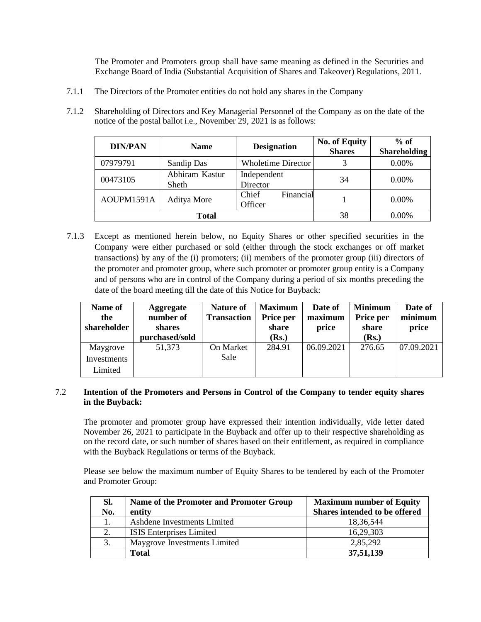The Promoter and Promoters group shall have same meaning as defined in the Securities and Exchange Board of India (Substantial Acquisition of Shares and Takeover) Regulations, 2011.

7.1.1 The Directors of the Promoter entities do not hold any shares in the Company

| 7.1.2 | Shareholding of Directors and Key Managerial Personnel of the Company as on the date of the |
|-------|---------------------------------------------------------------------------------------------|
|       | notice of the postal ballot <i>i.e.</i> , November 29, 2021 is as follows:                  |
|       |                                                                                             |

| <b>DIN/PAN</b> | <b>Name</b>             | <b>Designation</b>            | <b>No. of Equity</b><br><b>Shares</b> | $%$ of<br><b>Shareholding</b> |
|----------------|-------------------------|-------------------------------|---------------------------------------|-------------------------------|
| 07979791       | Sandip Das              | <b>Wholetime Director</b>     | 3                                     | 0.00%                         |
| 00473105       | Abhiram Kastur<br>Sheth | Independent<br>Director       | 34                                    | $0.00\%$                      |
| AOUPM1591A     | Aditya More             | Financial<br>Chief<br>Officer |                                       | $0.00\%$                      |
|                | <b>Total</b>            | 38                            | 0.00%                                 |                               |

7.1.3 Except as mentioned herein below, no Equity Shares or other specified securities in the Company were either purchased or sold (either through the stock exchanges or off market transactions) by any of the (i) promoters; (ii) members of the promoter group (iii) directors of the promoter and promoter group, where such promoter or promoter group entity is a Company and of persons who are in control of the Company during a period of six months preceding the date of the board meeting till the date of this Notice for Buyback:

| Name of<br>the<br>shareholder | <b>Aggregate</b><br>number of<br>shares<br>purchased/sold | <b>Nature of</b><br><b>Transaction</b> | <b>Maximum</b><br>Price per<br>share<br>(Rs.) | Date of<br>maximum<br>price | <b>Minimum</b><br>Price per<br>share<br>(Rs.) | Date of<br>minimum<br>price |
|-------------------------------|-----------------------------------------------------------|----------------------------------------|-----------------------------------------------|-----------------------------|-----------------------------------------------|-----------------------------|
| Maygrove<br>Investments       | 51,373                                                    | On Market<br>Sale                      | 284.91                                        | 06.09.2021                  | 276.65                                        | 07.09.2021                  |
| Limited                       |                                                           |                                        |                                               |                             |                                               |                             |

# 7.2 **Intention of the Promoters and Persons in Control of the Company to tender equity shares in the Buyback:**

The promoter and promoter group have expressed their intention individually, vide letter dated November 26, 2021 to participate in the Buyback and offer up to their respective shareholding as on the record date, or such number of shares based on their entitlement, as required in compliance with the Buyback Regulations or terms of the Buyback.

Please see below the maximum number of Equity Shares to be tendered by each of the Promoter and Promoter Group:

| SI.<br>No. | Name of the Promoter and Promoter Group<br>entity | <b>Maximum number of Equity</b><br>Shares intended to be offered |
|------------|---------------------------------------------------|------------------------------------------------------------------|
|            | Ashdene Investments Limited                       | 18,36,544                                                        |
| 2.         | <b>ISIS</b> Enterprises Limited                   | 16,29,303                                                        |
| 3.         | Maygrove Investments Limited                      | 2,85,292                                                         |
|            | <b>Total</b>                                      | 37,51,139                                                        |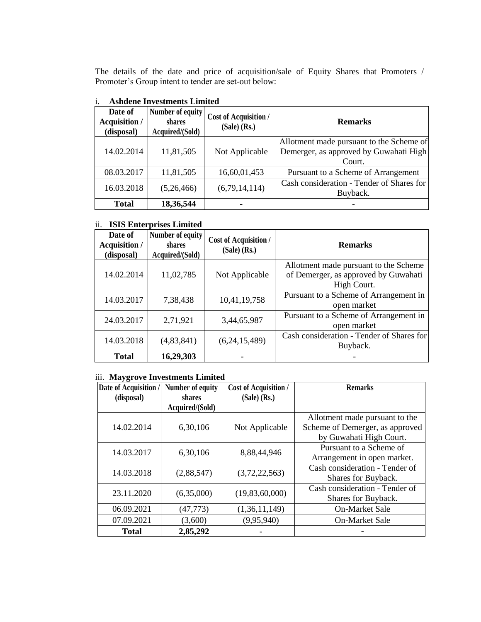The details of the date and price of acquisition/sale of Equity Shares that Promoters / Promoter's Group intent to tender are set-out below:

| Date of<br>Acquisition /<br>(disposal) | Number of equity<br>shares<br>Acquired/(Sold) | <b>Cost of Acquisition /</b><br>$(Sale)$ (Rs.) | <b>Remarks</b>                                                                               |
|----------------------------------------|-----------------------------------------------|------------------------------------------------|----------------------------------------------------------------------------------------------|
| 14.02.2014                             | 11,81,505                                     | Not Applicable                                 | Allotment made pursuant to the Scheme of<br>Demerger, as approved by Guwahati High<br>Court. |
| 08.03.2017                             | 11,81,505                                     | 16,60,01,453                                   | Pursuant to a Scheme of Arrangement                                                          |
| 16.03.2018                             | (5,26,466)                                    | (6,79,14,114)                                  | Cash consideration - Tender of Shares for<br>Buyback.                                        |
| <b>Total</b>                           | 18,36,544                                     |                                                |                                                                                              |

# i. **Ashdene Investments Limited**

# ii. **ISIS Enterprises Limited**

| Date of<br><b>Acquisition</b> /<br>(disposal) | Number of equity<br>shares<br>Acquired/(Sold) | <b>Cost of Acquisition /</b><br>$(Sale)$ (Rs.) | <b>Remarks</b>                                                                               |
|-----------------------------------------------|-----------------------------------------------|------------------------------------------------|----------------------------------------------------------------------------------------------|
| 14.02.2014                                    | 11,02,785                                     | Not Applicable                                 | Allotment made pursuant to the Scheme<br>of Demerger, as approved by Guwahati<br>High Court. |
| 14.03.2017                                    | 7,38,438                                      | 10,41,19,758                                   | Pursuant to a Scheme of Arrangement in<br>open market                                        |
| 24.03.2017                                    | 2,71,921                                      | 3,44,65,987                                    | Pursuant to a Scheme of Arrangement in<br>open market                                        |
| 14.03.2018                                    | (4,83,841)                                    | (6,24,15,489)                                  | Cash consideration - Tender of Shares for<br>Buyback.                                        |
| <b>Total</b>                                  | 16,29,303                                     |                                                |                                                                                              |

# iii. **Maygrove Investments Limited**

| Date of Acquisition / | Number of equity | <b>Cost of Acquisition /</b> | <b>Remarks</b>                  |
|-----------------------|------------------|------------------------------|---------------------------------|
| (disposal)            | shares           | $(Sale)$ (Rs.)               |                                 |
|                       | Acquired/(Sold)  |                              |                                 |
|                       |                  |                              | Allotment made pursuant to the  |
| 14.02.2014            | 6,30,106         | Not Applicable               | Scheme of Demerger, as approved |
|                       |                  |                              | by Guwahati High Court.         |
| 14.03.2017            | 6,30,106         | 8,88,44,946                  | Pursuant to a Scheme of         |
|                       |                  |                              | Arrangement in open market.     |
| 14.03.2018            | (2,88,547)       | (3,72,22,563)                | Cash consideration - Tender of  |
|                       |                  |                              | Shares for Buyback.             |
| 23.11.2020            | (6,35,000)       | (19,83,60,000)               | Cash consideration - Tender of  |
|                       |                  |                              | Shares for Buyback.             |
| 06.09.2021            | (47, 773)        | (1,36,11,149)                | <b>On-Market Sale</b>           |
| 07.09.2021            | (3,600)          | (9,95,940)                   | <b>On-Market Sale</b>           |
| <b>Total</b>          | 2,85,292         |                              |                                 |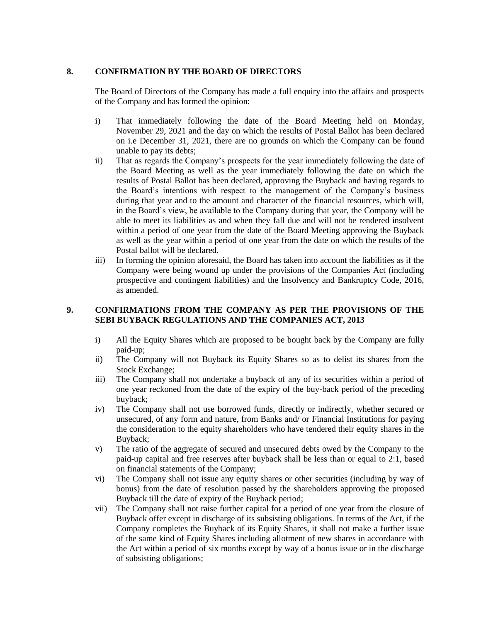# **8. CONFIRMATION BY THE BOARD OF DIRECTORS**

The Board of Directors of the Company has made a full enquiry into the affairs and prospects of the Company and has formed the opinion:

- i) That immediately following the date of the Board Meeting held on Monday, November 29, 2021 and the day on which the results of Postal Ballot has been declared on i.e December 31, 2021, there are no grounds on which the Company can be found unable to pay its debts;
- ii) That as regards the Company"s prospects for the year immediately following the date of the Board Meeting as well as the year immediately following the date on which the results of Postal Ballot has been declared, approving the Buyback and having regards to the Board"s intentions with respect to the management of the Company"s business during that year and to the amount and character of the financial resources, which will, in the Board"s view, be available to the Company during that year, the Company will be able to meet its liabilities as and when they fall due and will not be rendered insolvent within a period of one year from the date of the Board Meeting approving the Buyback as well as the year within a period of one year from the date on which the results of the Postal ballot will be declared.
- iii) In forming the opinion aforesaid, the Board has taken into account the liabilities as if the Company were being wound up under the provisions of the Companies Act (including prospective and contingent liabilities) and the Insolvency and Bankruptcy Code, 2016, as amended.

# **9. CONFIRMATIONS FROM THE COMPANY AS PER THE PROVISIONS OF THE SEBI BUYBACK REGULATIONS AND THE COMPANIES ACT, 2013**

- i) All the Equity Shares which are proposed to be bought back by the Company are fully paid-up;
- ii) The Company will not Buyback its Equity Shares so as to delist its shares from the Stock Exchange;
- iii) The Company shall not undertake a buyback of any of its securities within a period of one year reckoned from the date of the expiry of the buy-back period of the preceding buyback;
- iv) The Company shall not use borrowed funds, directly or indirectly, whether secured or unsecured, of any form and nature, from Banks and/ or Financial Institutions for paying the consideration to the equity shareholders who have tendered their equity shares in the Buyback;
- v) The ratio of the aggregate of secured and unsecured debts owed by the Company to the paid-up capital and free reserves after buyback shall be less than or equal to 2:1, based on financial statements of the Company;
- vi) The Company shall not issue any equity shares or other securities (including by way of bonus) from the date of resolution passed by the shareholders approving the proposed Buyback till the date of expiry of the Buyback period;
- vii) The Company shall not raise further capital for a period of one year from the closure of Buyback offer except in discharge of its subsisting obligations. In terms of the Act, if the Company completes the Buyback of its Equity Shares, it shall not make a further issue of the same kind of Equity Shares including allotment of new shares in accordance with the Act within a period of six months except by way of a bonus issue or in the discharge of subsisting obligations;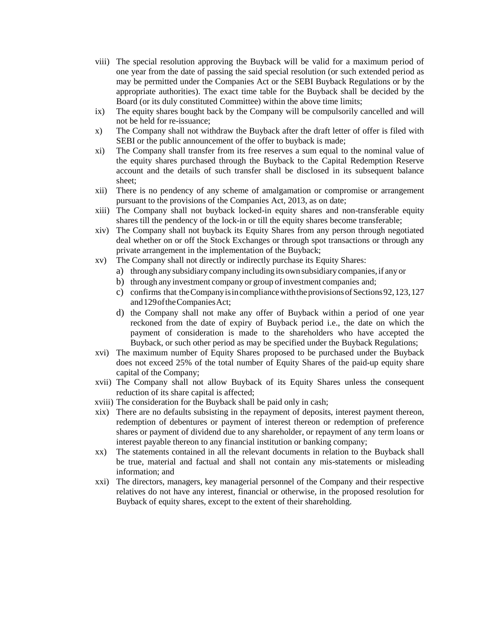- viii) The special resolution approving the Buyback will be valid for a maximum period of one year from the date of passing the said special resolution (or such extended period as may be permitted under the Companies Act or the SEBI Buyback Regulations or by the appropriate authorities). The exact time table for the Buyback shall be decided by the Board (or its duly constituted Committee) within the above time limits;
- ix) The equity shares bought back by the Company will be compulsorily cancelled and will not be held for re-issuance;
- x) The Company shall not withdraw the Buyback after the draft letter of offer is filed with SEBI or the public announcement of the offer to buyback is made;
- xi) The Company shall transfer from its free reserves a sum equal to the nominal value of the equity shares purchased through the Buyback to the Capital Redemption Reserve account and the details of such transfer shall be disclosed in its subsequent balance sheet;
- xii) There is no pendency of any scheme of amalgamation or compromise or arrangement pursuant to the provisions of the Companies Act, 2013, as on date;
- xiii) The Company shall not buyback locked-in equity shares and non-transferable equity shares till the pendency of the lock-in or till the equity shares become transferable;
- xiv) The Company shall not buyback its Equity Shares from any person through negotiated deal whether on or off the Stock Exchanges or through spot transactions or through any private arrangement in the implementation of the Buyback;
- xv) The Company shall not directly or indirectly purchase its Equity Shares:
	- a) through any subsidiary company including its own subsidiary companies, if any or
	- b) through any investment company or group of investment companies and;
	- c) confirms that the Company is in compliance with the provisions of Sections 92, 123, 127 and129oftheCompaniesAct;
	- d) the Company shall not make any offer of Buyback within a period of one year reckoned from the date of expiry of Buyback period i.e., the date on which the payment of consideration is made to the shareholders who have accepted the Buyback, or such other period as may be specified under the Buyback Regulations;
- xvi) The maximum number of Equity Shares proposed to be purchased under the Buyback does not exceed 25% of the total number of Equity Shares of the paid-up equity share capital of the Company;
- xvii) The Company shall not allow Buyback of its Equity Shares unless the consequent reduction of its share capital is affected;
- xviii) The consideration for the Buyback shall be paid only in cash;
- xix) There are no defaults subsisting in the repayment of deposits, interest payment thereon, redemption of debentures or payment of interest thereon or redemption of preference shares or payment of dividend due to any shareholder, or repayment of any term loans or interest payable thereon to any financial institution or banking company;
- xx) The statements contained in all the relevant documents in relation to the Buyback shall be true, material and factual and shall not contain any mis-statements or misleading information; and
- xxi) The directors, managers, key managerial personnel of the Company and their respective relatives do not have any interest, financial or otherwise, in the proposed resolution for Buyback of equity shares, except to the extent of their shareholding.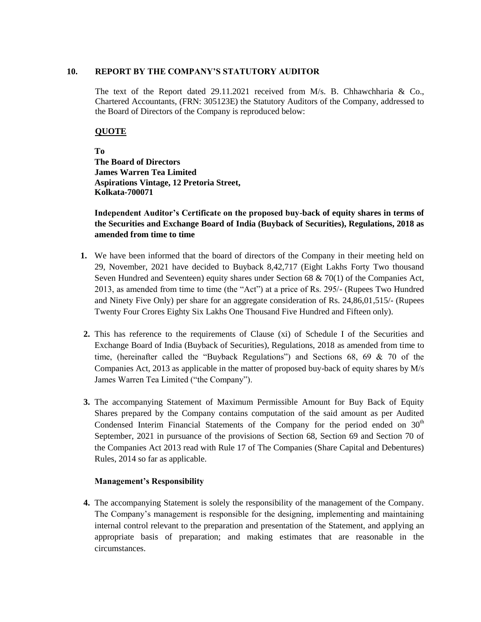## **10. REPORT BY THE COMPANY'S STATUTORY AUDITOR**

The text of the Report dated 29.11.2021 received from M/s. B. Chhawchharia & Co., Chartered Accountants, (FRN: 305123E) the Statutory Auditors of the Company, addressed to the Board of Directors of the Company is reproduced below:

# **QUOTE**

**To The Board of Directors James Warren Tea Limited Aspirations Vintage, 12 Pretoria Street, Kolkata-700071** 

**Independent Auditor's Certificate on the proposed buy-back of equity shares in terms of the Securities and Exchange Board of India (Buyback of Securities), Regulations, 2018 as amended from time to time**

- **1.** We have been informed that the board of directors of the Company in their meeting held on 29, November, 2021 have decided to Buyback 8,42,717 (Eight Lakhs Forty Two thousand Seven Hundred and Seventeen) equity shares under Section 68  $\& 70(1)$  of the Companies Act, 2013, as amended from time to time (the "Act") at a price of Rs. 295/- (Rupees Two Hundred and Ninety Five Only) per share for an aggregate consideration of Rs. 24,86,01,515/- (Rupees Twenty Four Crores Eighty Six Lakhs One Thousand Five Hundred and Fifteen only).
- **2.** This has reference to the requirements of Clause (xi) of Schedule I of the Securities and Exchange Board of India (Buyback of Securities), Regulations, 2018 as amended from time to time, (hereinafter called the "Buyback Regulations") and Sections 68, 69 & 70 of the Companies Act, 2013 as applicable in the matter of proposed buy-back of equity shares by M/s James Warren Tea Limited ("the Company").
- **3.** The accompanying Statement of Maximum Permissible Amount for Buy Back of Equity Shares prepared by the Company contains computation of the said amount as per Audited Condensed Interim Financial Statements of the Company for the period ended on  $30<sup>th</sup>$ September, 2021 in pursuance of the provisions of Section 68, Section 69 and Section 70 of the Companies Act 2013 read with Rule 17 of The Companies (Share Capital and Debentures) Rules, 2014 so far as applicable.

### **Management's Responsibility**

**4.** The accompanying Statement is solely the responsibility of the management of the Company. The Company"s management is responsible for the designing, implementing and maintaining internal control relevant to the preparation and presentation of the Statement, and applying an appropriate basis of preparation; and making estimates that are reasonable in the circumstances.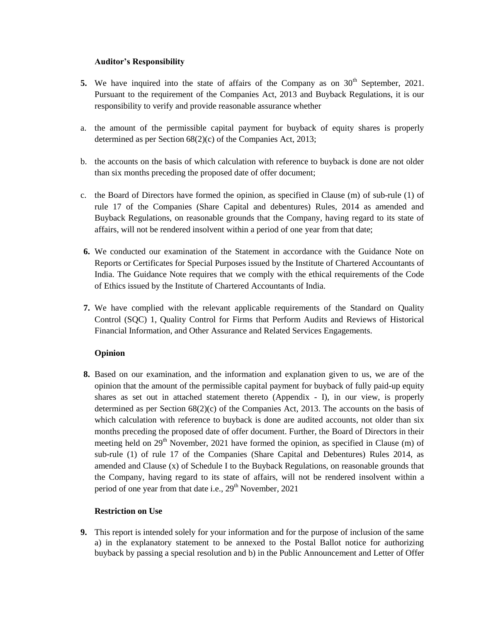### **Auditor's Responsibility**

- **5.** We have inquired into the state of affairs of the Company as on  $30<sup>th</sup>$  September, 2021. Pursuant to the requirement of the Companies Act, 2013 and Buyback Regulations, it is our responsibility to verify and provide reasonable assurance whether
- a. the amount of the permissible capital payment for buyback of equity shares is properly determined as per Section 68(2)(c) of the Companies Act, 2013;
- b. the accounts on the basis of which calculation with reference to buyback is done are not older than six months preceding the proposed date of offer document;
- c. the Board of Directors have formed the opinion, as specified in Clause (m) of sub-rule (1) of rule 17 of the Companies (Share Capital and debentures) Rules, 2014 as amended and Buyback Regulations, on reasonable grounds that the Company, having regard to its state of affairs, will not be rendered insolvent within a period of one year from that date;
- **6.** We conducted our examination of the Statement in accordance with the Guidance Note on Reports or Certificates for Special Purposes issued by the Institute of Chartered Accountants of India. The Guidance Note requires that we comply with the ethical requirements of the Code of Ethics issued by the Institute of Chartered Accountants of India.
- **7.** We have complied with the relevant applicable requirements of the Standard on Quality Control (SQC) 1, Quality Control for Firms that Perform Audits and Reviews of Historical Financial Information, and Other Assurance and Related Services Engagements.

# **Opinion**

**8.** Based on our examination, and the information and explanation given to us, we are of the opinion that the amount of the permissible capital payment for buyback of fully paid-up equity shares as set out in attached statement thereto (Appendix - I), in our view, is properly determined as per Section 68(2)(c) of the Companies Act, 2013. The accounts on the basis of which calculation with reference to buyback is done are audited accounts, not older than six months preceding the proposed date of offer document. Further, the Board of Directors in their meeting held on  $29<sup>th</sup>$  November, 2021 have formed the opinion, as specified in Clause (m) of sub-rule (1) of rule 17 of the Companies (Share Capital and Debentures) Rules 2014, as amended and Clause (x) of Schedule I to the Buyback Regulations, on reasonable grounds that the Company, having regard to its state of affairs, will not be rendered insolvent within a period of one year from that date i.e.,  $29<sup>th</sup>$  November, 2021

# **Restriction on Use**

**9.** This report is intended solely for your information and for the purpose of inclusion of the same a) in the explanatory statement to be annexed to the Postal Ballot notice for authorizing buyback by passing a special resolution and b) in the Public Announcement and Letter of Offer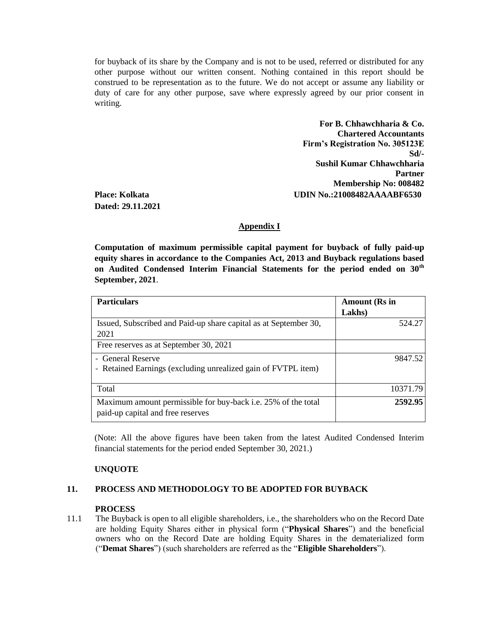for buyback of its share by the Company and is not to be used, referred or distributed for any other purpose without our written consent. Nothing contained in this report should be construed to be representation as to the future. We do not accept or assume any liability or duty of care for any other purpose, save where expressly agreed by our prior consent in writing.

**For B. Chhawchharia & Co. Chartered Accountants Firm's Registration No. 305123E Sd/- Sushil Kumar Chhawchharia Partner Membership No: 008482 Place: Kolkata UDIN No.:21008482AAAABF6530**

**Dated: 29.11.2021**

### **Appendix I**

**Computation of maximum permissible capital payment for buyback of fully paid-up equity shares in accordance to the Companies Act, 2013 and Buyback regulations based on Audited Condensed Interim Financial Statements for the period ended on 30th September, 2021**.

| <b>Particulars</b>                                                                                 | <b>Amount</b> (Rs in |
|----------------------------------------------------------------------------------------------------|----------------------|
|                                                                                                    | Lakhs)               |
| Issued, Subscribed and Paid-up share capital as at September 30,                                   | 524.27               |
| 2021                                                                                               |                      |
| Free reserves as at September 30, 2021                                                             |                      |
| - General Reserve                                                                                  | 9847.52              |
| - Retained Earnings (excluding unrealized gain of FVTPL item)                                      |                      |
| Total                                                                                              | 10371.79             |
| Maximum amount permissible for buy-back i.e. 25% of the total<br>paid-up capital and free reserves | 2592.95              |

(Note: All the above figures have been taken from the latest Audited Condensed Interim financial statements for the period ended September 30, 2021.)

### **UNQUOTE**

### **11. PROCESS AND METHODOLOGY TO BE ADOPTED FOR BUYBACK**

#### **PROCESS**

11.1 The Buyback is open to all eligible shareholders, i.e., the shareholders who on the Record Date are holding Equity Shares either in physical form ("**Physical Shares**") and the beneficial owners who on the Record Date are holding Equity Shares in the dematerialized form ("**Demat Shares**") (such shareholders are referred as the "**Eligible Shareholders**").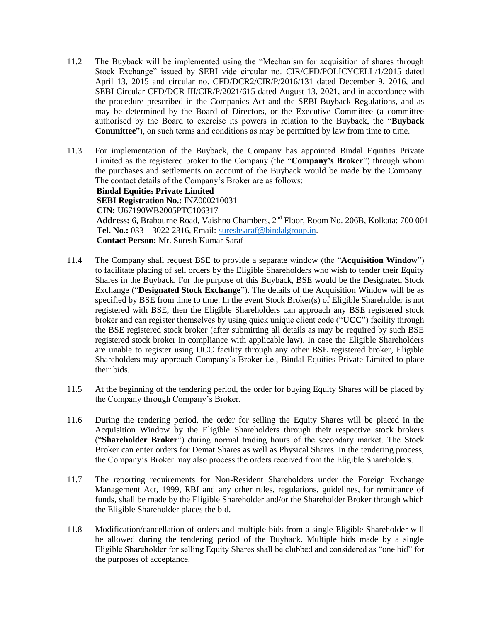- 11.2 The Buyback will be implemented using the "Mechanism for acquisition of shares through Stock Exchange" issued by SEBI vide circular no. CIR/CFD/POLICYCELL/1/2015 dated April 13, 2015 and circular no. CFD/DCR2/CIR/P/2016/131 dated December 9, 2016, and SEBI Circular CFD/DCR-III/CIR/P/2021/615 dated August 13, 2021, and in accordance with the procedure prescribed in the Companies Act and the SEBI Buyback Regulations, and as may be determined by the Board of Directors, or the Executive Committee (a committee authorised by the Board to exercise its powers in relation to the Buyback, the "**Buyback Committee**"), on such terms and conditions as may be permitted by law from time to time.
- 11.3 For implementation of the Buyback, the Company has appointed Bindal Equities Private Limited as the registered broker to the Company (the "**Company's Broker**") through whom the purchases and settlements on account of the Buyback would be made by the Company. The contact details of the Company's Broker are as follows: **Bindal Equities Private Limited SEBI Registration No.:** INZ000210031 **CIN:** U67190WB2005PTC106317 Address: 6, Brabourne Road, Vaishno Chambers, 2<sup>nd</sup> Floor, Room No. 206B, Kolkata: 700 001 **Tel. No.:** 033 – 3022 2316, Email: [sureshsaraf@bindalgroup.in.](mailto:sureshsaraf@bindalgroup.in) **Contact Person:** Mr. Suresh Kumar Saraf
- 11.4 The Company shall request BSE to provide a separate window (the "**Acquisition Window**") to facilitate placing of sell orders by the Eligible Shareholders who wish to tender their Equity Shares in the Buyback. For the purpose of this Buyback, BSE would be the Designated Stock Exchange ("**Designated Stock Exchange**"). The details of the Acquisition Window will be as specified by BSE from time to time. In the event Stock Broker(s) of Eligible Shareholder is not registered with BSE, then the Eligible Shareholders can approach any BSE registered stock broker and can register themselves by using quick unique client code ("**UCC**") facility through the BSE registered stock broker (after submitting all details as may be required by such BSE registered stock broker in compliance with applicable law). In case the Eligible Shareholders are unable to register using UCC facility through any other BSE registered broker, Eligible Shareholders may approach Company"s Broker i.e., Bindal Equities Private Limited to place their bids.
- 11.5 At the beginning of the tendering period, the order for buying Equity Shares will be placed by the Company through Company"s Broker.
- 11.6 During the tendering period, the order for selling the Equity Shares will be placed in the Acquisition Window by the Eligible Shareholders through their respective stock brokers ("**Shareholder Broker**") during normal trading hours of the secondary market. The Stock Broker can enter orders for Demat Shares as well as Physical Shares. In the tendering process, the Company"s Broker may also process the orders received from the Eligible Shareholders.
- 11.7 The reporting requirements for Non-Resident Shareholders under the Foreign Exchange Management Act, 1999, RBI and any other rules, regulations, guidelines, for remittance of funds, shall be made by the Eligible Shareholder and/or the Shareholder Broker through which the Eligible Shareholder places the bid.
- 11.8 Modification/cancellation of orders and multiple bids from a single Eligible Shareholder will be allowed during the tendering period of the Buyback. Multiple bids made by a single Eligible Shareholder for selling Equity Shares shall be clubbed and considered as "one bid" for the purposes of acceptance.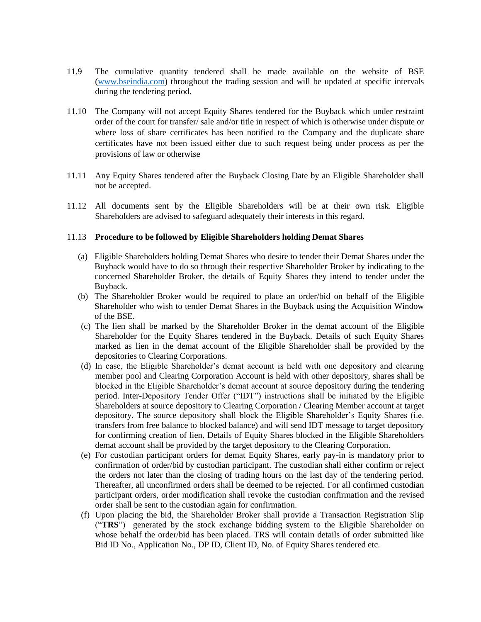- 11.9 The cumulative quantity tendered shall be made available on the website of BSE [\(www.bseindia.com\)](http://www.bseindia.com/) throughout the trading session and will be updated at specific intervals during the tendering period.
- 11.10 The Company will not accept Equity Shares tendered for the Buyback which under restraint order of the court for transfer/ sale and/or title in respect of which is otherwise under dispute or where loss of share certificates has been notified to the Company and the duplicate share certificates have not been issued either due to such request being under process as per the provisions of law or otherwise
- 11.11 Any Equity Shares tendered after the Buyback Closing Date by an Eligible Shareholder shall not be accepted.
- 11.12 All documents sent by the Eligible Shareholders will be at their own risk. Eligible Shareholders are advised to safeguard adequately their interests in this regard.

#### 11.13 **Procedure to be followed by Eligible Shareholders holding Demat Shares**

- (a) Eligible Shareholders holding Demat Shares who desire to tender their Demat Shares under the Buyback would have to do so through their respective Shareholder Broker by indicating to the concerned Shareholder Broker, the details of Equity Shares they intend to tender under the Buyback.
- (b) The Shareholder Broker would be required to place an order/bid on behalf of the Eligible Shareholder who wish to tender Demat Shares in the Buyback using the Acquisition Window of the BSE.
- (c) The lien shall be marked by the Shareholder Broker in the demat account of the Eligible Shareholder for the Equity Shares tendered in the Buyback. Details of such Equity Shares marked as lien in the demat account of the Eligible Shareholder shall be provided by the depositories to Clearing Corporations.
- (d) In case, the Eligible Shareholder"s demat account is held with one depository and clearing member pool and Clearing Corporation Account is held with other depository, shares shall be blocked in the Eligible Shareholder"s demat account at source depository during the tendering period. Inter-Depository Tender Offer ("IDT") instructions shall be initiated by the Eligible Shareholders at source depository to Clearing Corporation / Clearing Member account at target depository. The source depository shall block the Eligible Shareholder"s Equity Shares (i.e. transfers from free balance to blocked balance) and will send IDT message to target depository for confirming creation of lien. Details of Equity Shares blocked in the Eligible Shareholders demat account shall be provided by the target depository to the Clearing Corporation.
- (e) For custodian participant orders for demat Equity Shares, early pay-in is mandatory prior to confirmation of order/bid by custodian participant. The custodian shall either confirm or reject the orders not later than the closing of trading hours on the last day of the tendering period. Thereafter, all unconfirmed orders shall be deemed to be rejected. For all confirmed custodian participant orders, order modification shall revoke the custodian confirmation and the revised order shall be sent to the custodian again for confirmation.
- (f) Upon placing the bid, the Shareholder Broker shall provide a Transaction Registration Slip ("**TRS**") generated by the stock exchange bidding system to the Eligible Shareholder on whose behalf the order/bid has been placed. TRS will contain details of order submitted like Bid ID No., Application No., DP ID, Client ID, No. of Equity Shares tendered etc.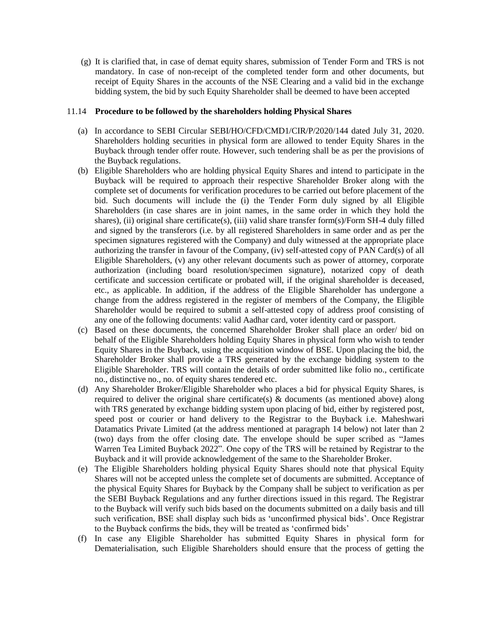(g) It is clarified that, in case of demat equity shares, submission of Tender Form and TRS is not mandatory. In case of non-receipt of the completed tender form and other documents, but receipt of Equity Shares in the accounts of the NSE Clearing and a valid bid in the exchange bidding system, the bid by such Equity Shareholder shall be deemed to have been accepted

#### 11.14 **Procedure to be followed by the shareholders holding Physical Shares**

- (a) In accordance to SEBI Circular SEBI/HO/CFD/CMD1/CIR/P/2020/144 dated July 31, 2020. Shareholders holding securities in physical form are allowed to tender Equity Shares in the Buyback through tender offer route. However, such tendering shall be as per the provisions of the Buyback regulations.
- (b) Eligible Shareholders who are holding physical Equity Shares and intend to participate in the Buyback will be required to approach their respective Shareholder Broker along with the complete set of documents for verification procedures to be carried out before placement of the bid. Such documents will include the (i) the Tender Form duly signed by all Eligible Shareholders (in case shares are in joint names, in the same order in which they hold the shares), (ii) original share certificate(s), (iii) valid share transfer form(s)/Form SH-4 duly filled and signed by the transferors (i.e. by all registered Shareholders in same order and as per the specimen signatures registered with the Company) and duly witnessed at the appropriate place authorizing the transfer in favour of the Company, (iv) self-attested copy of PAN Card(s) of all Eligible Shareholders, (v) any other relevant documents such as power of attorney, corporate authorization (including board resolution/specimen signature), notarized copy of death certificate and succession certificate or probated will, if the original shareholder is deceased, etc., as applicable. In addition, if the address of the Eligible Shareholder has undergone a change from the address registered in the register of members of the Company, the Eligible Shareholder would be required to submit a self-attested copy of address proof consisting of any one of the following documents: valid Aadhar card, voter identity card or passport.
- (c) Based on these documents, the concerned Shareholder Broker shall place an order/ bid on behalf of the Eligible Shareholders holding Equity Shares in physical form who wish to tender Equity Shares in the Buyback, using the acquisition window of BSE. Upon placing the bid, the Shareholder Broker shall provide a TRS generated by the exchange bidding system to the Eligible Shareholder. TRS will contain the details of order submitted like folio no., certificate no., distinctive no., no. of equity shares tendered etc.
- (d) Any Shareholder Broker/Eligible Shareholder who places a bid for physical Equity Shares, is required to deliver the original share certificate(s)  $\&$  documents (as mentioned above) along with TRS generated by exchange bidding system upon placing of bid, either by registered post, speed post or courier or hand delivery to the Registrar to the Buyback i.e. Maheshwari Datamatics Private Limited (at the address mentioned at paragraph 14 below) not later than 2 (two) days from the offer closing date. The envelope should be super scribed as "James Warren Tea Limited Buyback 2022". One copy of the TRS will be retained by Registrar to the Buyback and it will provide acknowledgement of the same to the Shareholder Broker.
- (e) The Eligible Shareholders holding physical Equity Shares should note that physical Equity Shares will not be accepted unless the complete set of documents are submitted. Acceptance of the physical Equity Shares for Buyback by the Company shall be subject to verification as per the SEBI Buyback Regulations and any further directions issued in this regard. The Registrar to the Buyback will verify such bids based on the documents submitted on a daily basis and till such verification, BSE shall display such bids as 'unconfirmed physical bids'. Once Registrar to the Buyback confirms the bids, they will be treated as "confirmed bids"
- (f) In case any Eligible Shareholder has submitted Equity Shares in physical form for Dematerialisation, such Eligible Shareholders should ensure that the process of getting the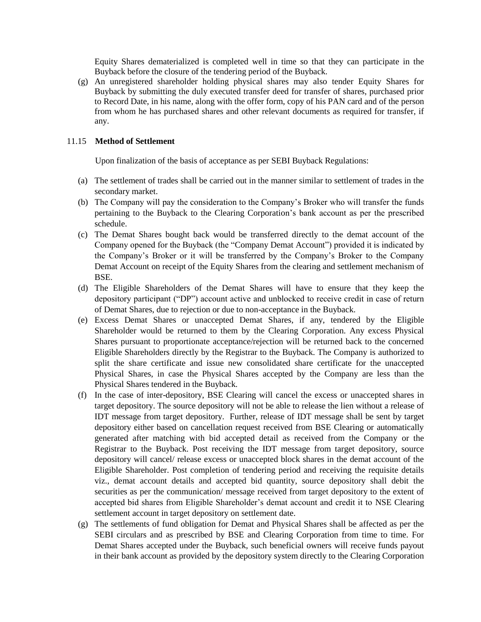Equity Shares dematerialized is completed well in time so that they can participate in the Buyback before the closure of the tendering period of the Buyback.

(g) An unregistered shareholder holding physical shares may also tender Equity Shares for Buyback by submitting the duly executed transfer deed for transfer of shares, purchased prior to Record Date, in his name, along with the offer form, copy of his PAN card and of the person from whom he has purchased shares and other relevant documents as required for transfer, if any.

### 11.15 **Method of Settlement**

Upon finalization of the basis of acceptance as per SEBI Buyback Regulations:

- (a) The settlement of trades shall be carried out in the manner similar to settlement of trades in the secondary market.
- (b) The Company will pay the consideration to the Company"s Broker who will transfer the funds pertaining to the Buyback to the Clearing Corporation"s bank account as per the prescribed schedule.
- (c) The Demat Shares bought back would be transferred directly to the demat account of the Company opened for the Buyback (the "Company Demat Account") provided it is indicated by the Company"s Broker or it will be transferred by the Company"s Broker to the Company Demat Account on receipt of the Equity Shares from the clearing and settlement mechanism of BSE.
- (d) The Eligible Shareholders of the Demat Shares will have to ensure that they keep the depository participant ("DP") account active and unblocked to receive credit in case of return of Demat Shares, due to rejection or due to non-acceptance in the Buyback.
- (e) Excess Demat Shares or unaccepted Demat Shares, if any, tendered by the Eligible Shareholder would be returned to them by the Clearing Corporation. Any excess Physical Shares pursuant to proportionate acceptance/rejection will be returned back to the concerned Eligible Shareholders directly by the Registrar to the Buyback. The Company is authorized to split the share certificate and issue new consolidated share certificate for the unaccepted Physical Shares, in case the Physical Shares accepted by the Company are less than the Physical Shares tendered in the Buyback.
- (f) In the case of inter-depository, BSE Clearing will cancel the excess or unaccepted shares in target depository. The source depository will not be able to release the lien without a release of IDT message from target depository. Further, release of IDT message shall be sent by target depository either based on cancellation request received from BSE Clearing or automatically generated after matching with bid accepted detail as received from the Company or the Registrar to the Buyback. Post receiving the IDT message from target depository, source depository will cancel/ release excess or unaccepted block shares in the demat account of the Eligible Shareholder. Post completion of tendering period and receiving the requisite details viz., demat account details and accepted bid quantity, source depository shall debit the securities as per the communication/ message received from target depository to the extent of accepted bid shares from Eligible Shareholder"s demat account and credit it to NSE Clearing settlement account in target depository on settlement date.
- (g) The settlements of fund obligation for Demat and Physical Shares shall be affected as per the SEBI circulars and as prescribed by BSE and Clearing Corporation from time to time. For Demat Shares accepted under the Buyback, such beneficial owners will receive funds payout in their bank account as provided by the depository system directly to the Clearing Corporation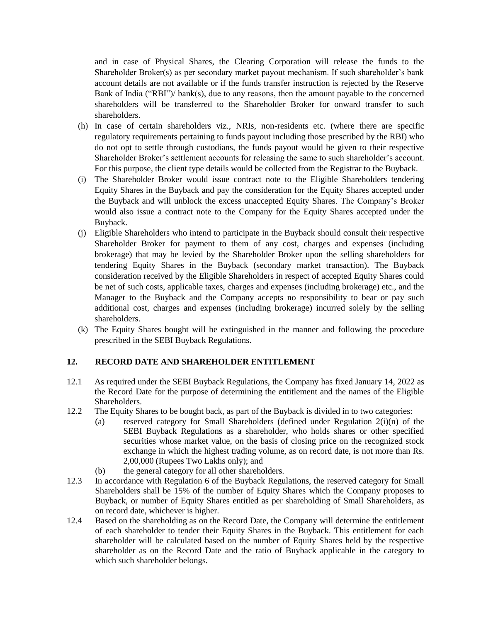and in case of Physical Shares, the Clearing Corporation will release the funds to the Shareholder Broker(s) as per secondary market payout mechanism. If such shareholder"s bank account details are not available or if the funds transfer instruction is rejected by the Reserve Bank of India ("RBI")/ bank(s), due to any reasons, then the amount payable to the concerned shareholders will be transferred to the Shareholder Broker for onward transfer to such shareholders.

- (h) In case of certain shareholders viz., NRIs, non-residents etc. (where there are specific regulatory requirements pertaining to funds payout including those prescribed by the RBI) who do not opt to settle through custodians, the funds payout would be given to their respective Shareholder Broker"s settlement accounts for releasing the same to such shareholder"s account. For this purpose, the client type details would be collected from the Registrar to the Buyback.
- (i) The Shareholder Broker would issue contract note to the Eligible Shareholders tendering Equity Shares in the Buyback and pay the consideration for the Equity Shares accepted under the Buyback and will unblock the excess unaccepted Equity Shares. The Company"s Broker would also issue a contract note to the Company for the Equity Shares accepted under the Buyback.
- (j) Eligible Shareholders who intend to participate in the Buyback should consult their respective Shareholder Broker for payment to them of any cost, charges and expenses (including brokerage) that may be levied by the Shareholder Broker upon the selling shareholders for tendering Equity Shares in the Buyback (secondary market transaction). The Buyback consideration received by the Eligible Shareholders in respect of accepted Equity Shares could be net of such costs, applicable taxes, charges and expenses (including brokerage) etc., and the Manager to the Buyback and the Company accepts no responsibility to bear or pay such additional cost, charges and expenses (including brokerage) incurred solely by the selling shareholders.
- (k) The Equity Shares bought will be extinguished in the manner and following the procedure prescribed in the SEBI Buyback Regulations.

# **12. RECORD DATE AND SHAREHOLDER ENTITLEMENT**

- 12.1 As required under the SEBI Buyback Regulations, the Company has fixed January 14, 2022 as the Record Date for the purpose of determining the entitlement and the names of the Eligible Shareholders.
- 12.2 The Equity Shares to be bought back, as part of the Buyback is divided in to two categories:
	- (a) reserved category for Small Shareholders (defined under Regulation 2(i)(n) of the SEBI Buyback Regulations as a shareholder, who holds shares or other specified securities whose market value, on the basis of closing price on the recognized stock exchange in which the highest trading volume, as on record date, is not more than Rs. 2,00,000 (Rupees Two Lakhs only); and
	- (b) the general category for all other shareholders.
- 12.3 In accordance with Regulation 6 of the Buyback Regulations, the reserved category for Small Shareholders shall be 15% of the number of Equity Shares which the Company proposes to Buyback, or number of Equity Shares entitled as per shareholding of Small Shareholders, as on record date, whichever is higher.
- 12.4 Based on the shareholding as on the Record Date, the Company will determine the entitlement of each shareholder to tender their Equity Shares in the Buyback. This entitlement for each shareholder will be calculated based on the number of Equity Shares held by the respective shareholder as on the Record Date and the ratio of Buyback applicable in the category to which such shareholder belongs.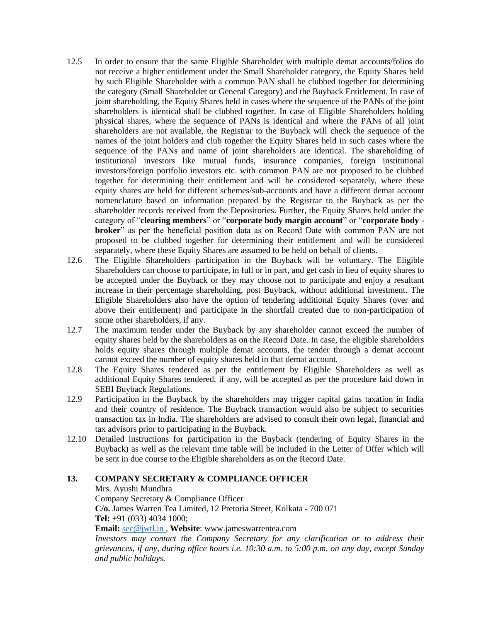- 12.5 In order to ensure that the same Eligible Shareholder with multiple demat accounts/folios do not receive a higher entitlement under the Small Shareholder category, the Equity Shares held by such Eligible Shareholder with a common PAN shall be clubbed together for determining the category (Small Shareholder or General Category) and the Buyback Entitlement. In case of joint shareholding, the Equity Shares held in cases where the sequence of the PANs of the joint shareholders is identical shall be clubbed together. In case of Eligible Shareholders holding physical shares, where the sequence of PANs is identical and where the PANs of all joint shareholders are not available, the Registrar to the Buyback will check the sequence of the names of the joint holders and club together the Equity Shares held in such cases where the sequence of the PANs and name of joint shareholders are identical. The shareholding of institutional investors like mutual funds, insurance companies, foreign institutional investors/foreign portfolio investors etc. with common PAN are not proposed to be clubbed together for determining their entitlement and will be considered separately, where these equity shares are held for different schemes/sub-accounts and have a different demat account nomenclature based on information prepared by the Registrar to the Buyback as per the shareholder records received from the Depositories. Further, the Equity Shares held under the category of "**clearing members**" or "**corporate body margin account**" or "**corporate body broker**" as per the beneficial position data as on Record Date with common PAN are not proposed to be clubbed together for determining their entitlement and will be considered separately, where these Equity Shares are assumed to be held on behalf of clients.
- 12.6 The Eligible Shareholders participation in the Buyback will be voluntary. The Eligible Shareholders can choose to participate, in full or in part, and get cash in lieu of equity shares to be accepted under the Buyback or they may choose not to participate and enjoy a resultant increase in their percentage shareholding, post Buyback, without additional investment. The Eligible Shareholders also have the option of tendering additional Equity Shares (over and above their entitlement) and participate in the shortfall created due to non-participation of some other shareholders, if any.
- 12.7 The maximum tender under the Buyback by any shareholder cannot exceed the number of equity shares held by the shareholders as on the Record Date. In case, the eligible shareholders holds equity shares through multiple demat accounts, the tender through a demat account cannot exceed the number of equity shares held in that demat account.
- 12.8 The Equity Shares tendered as per the entitlement by Eligible Shareholders as well as additional Equity Shares tendered, if any, will be accepted as per the procedure laid down in SEBI Buyback Regulations.
- 12.9 Participation in the Buyback by the shareholders may trigger capital gains taxation in India and their country of residence. The Buyback transaction would also be subject to securities transaction tax in India. The shareholders are advised to consult their own legal, financial and tax advisors prior to participating in the Buyback.
- 12.10 Detailed instructions for participation in the Buyback (tendering of Equity Shares in the Buyback) as well as the relevant time table will be included in the Letter of Offer which will be sent in due course to the Eligible shareholders as on the Record Date.

# **13. COMPANY SECRETARY & COMPLIANCE OFFICER**

Mrs. Ayushi Mundhra

Company Secretary & Compliance Officer **C/o.** James Warren Tea Limited, 12 Pretoria Street, Kolkata - 700 071 **Tel:** +91 (033) 4034 1000; **Email:** [sec@jwtl.in](mailto:sec@jwtl.in) , **Website**: www.jameswarrentea.com

*Investors may contact the Company Secretary for any clarification or to address their grievances, if any, during office hours i.e. 10:30 a.m. to 5:00 p.m. on any day, except Sunday and public holidays.*